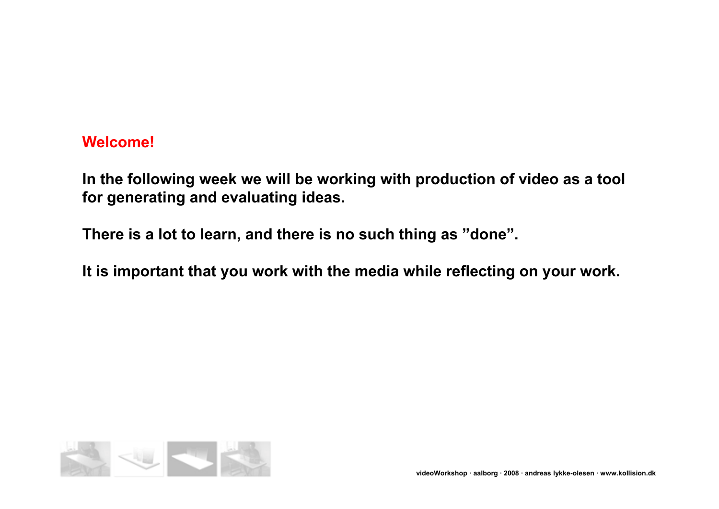#### **Welcome!**

**In the following week we will be working with production of video as a tool for generating and evaluating ideas.**

**There is a lot to learn, and there is no such thing as "done".**

**It is important that you work with the media while reflecting on your work.**

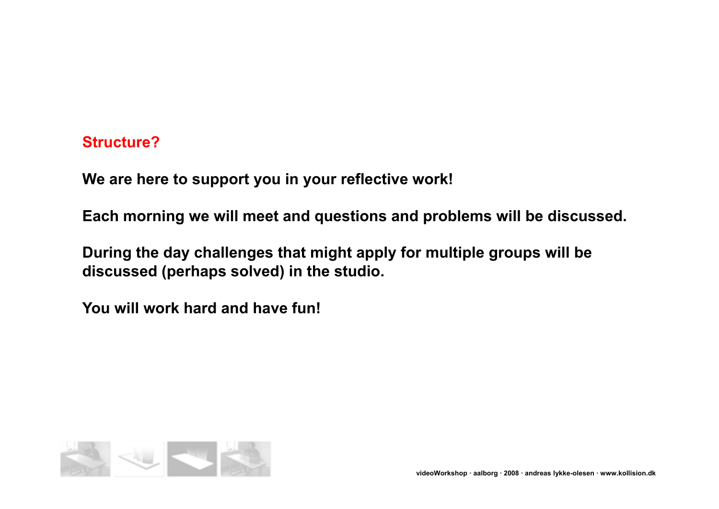### **Structure?**

**We are here to support you in your reflective work!**

**Each morning we will meet and questions and problems will be discussed.**

**During the day challenges that might apply for multiple groups will be discussed (perhaps solved) in the studio.**

**You will work hard and have fun!**

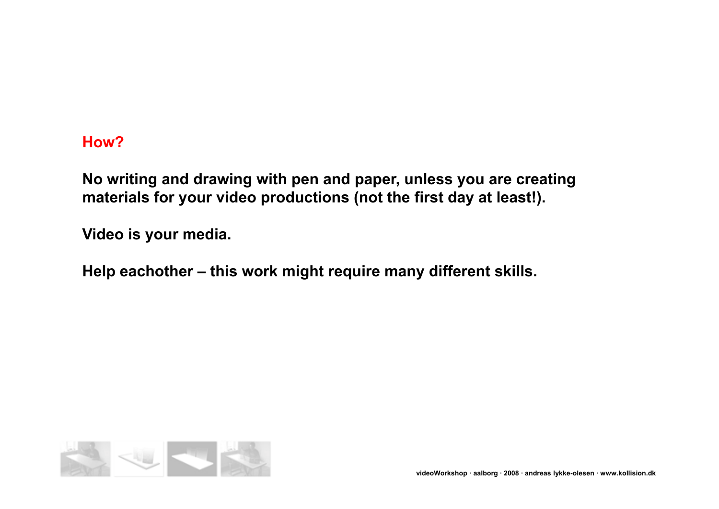### **How?**

**No writing and drawing with pen and paper, unless you are creating materials for your video productions (not the first day at least!).**

**Video is your media.**

**Help eachother – this work might require many different skills.**

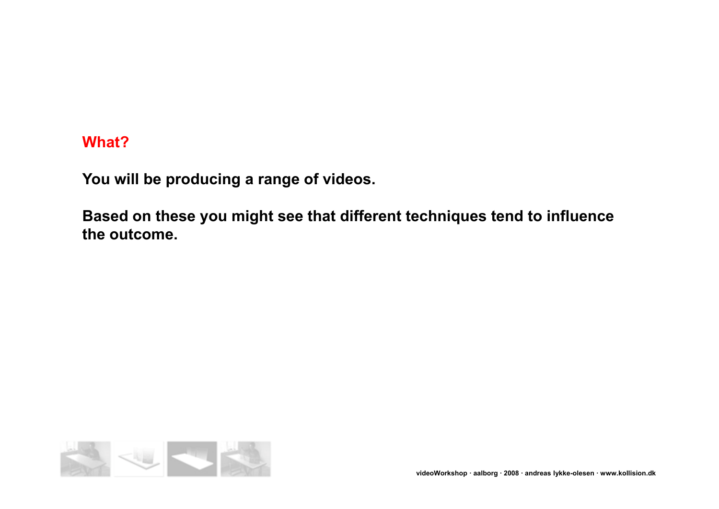### **What?**

**You will be producing a range of videos.**

**Based on these you might see that different techniques tend to influence the outcome.** 

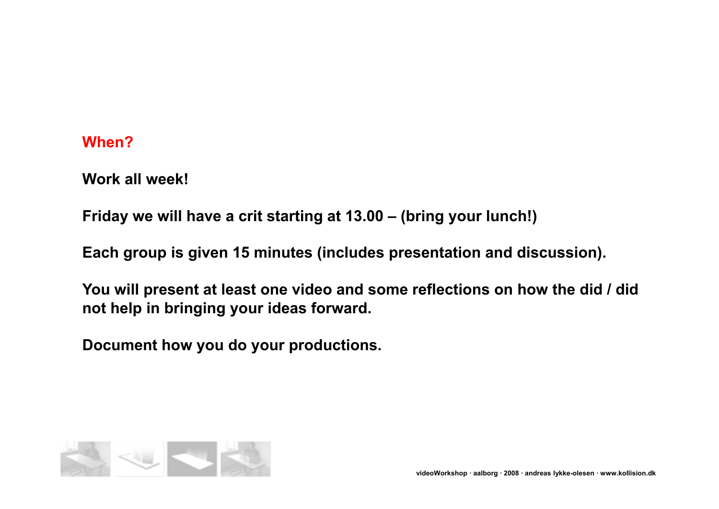### **When?**

**Work all week!**

**Friday we will have a crit starting at 13.00 – (bring your lunch!)**

**Each group is given 15 minutes (includes presentation and discussion).**

**You will present at least one video and some reflections on how the did / did not help in bringing your ideas forward.**

**Document how you do your productions.**

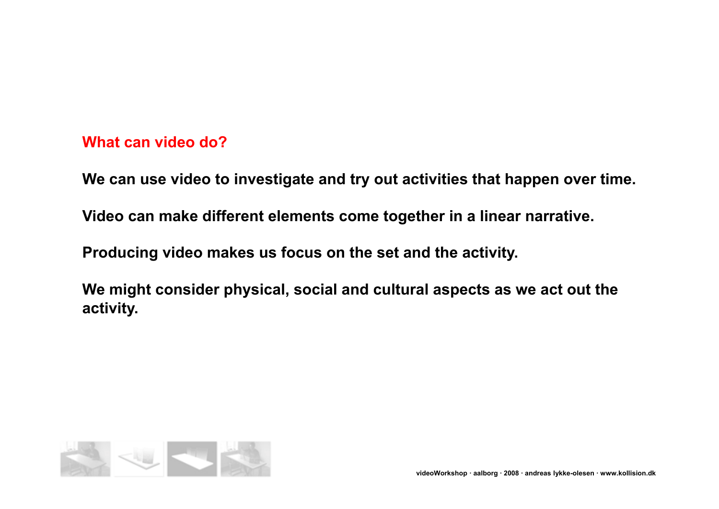## **What can video do?**

**We can use video to investigate and try out activities that happen over time.**

**Video can make different elements come together in a linear narrative.**

**Producing video makes us focus on the set and the activity.**

**We might consider physical, social and cultural aspects as we act out the activity.**

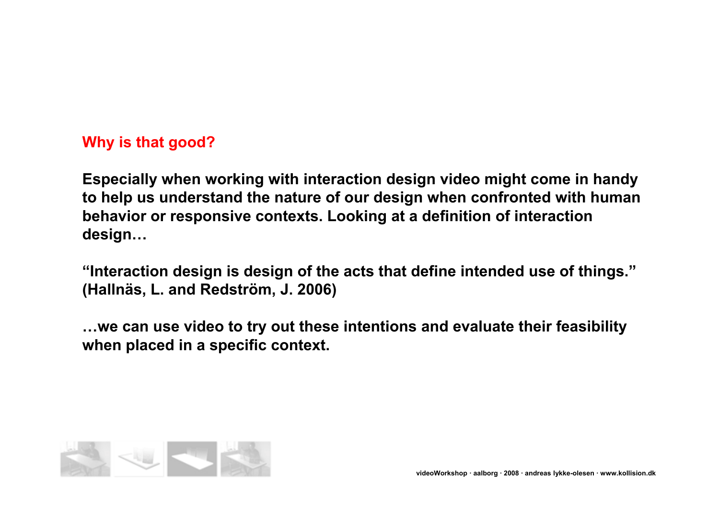# **Why is that good?**

**Especially when working with interaction design video might come in handy to help us understand the nature of our design when confronted with human behavior or responsive contexts. Looking at a definition of interaction design…**

**"Interaction design is design of the acts that define intended use of things." (Hallnäs, L. and Redström, J. 2006)**

**…we can use video to try out these intentions and evaluate their feasibility when placed in a specific context.**

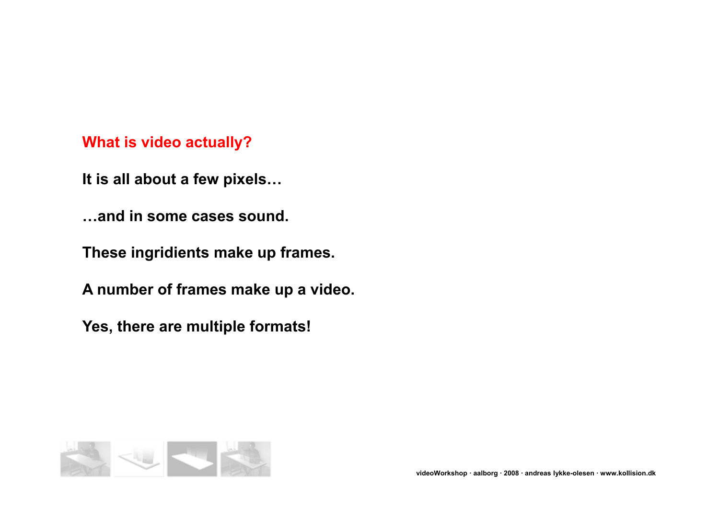# **What is video actually?**

**It is all about a few pixels…**

**…and in some cases sound.**

**These ingridients make up frames.**

**A number of frames make up a video.**

**Yes, there are multiple formats!**

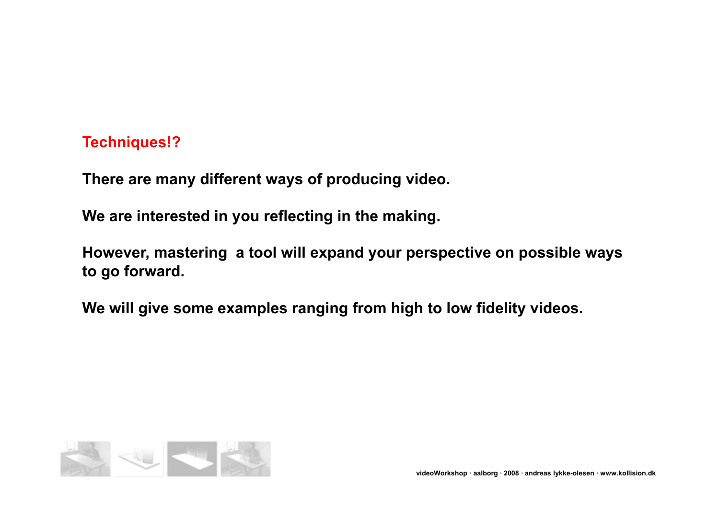## **Techniques!?**

**There are many different ways of producing video.**

**We are interested in you reflecting in the making.**

**However, mastering a tool will expand your perspective on possible ways to go forward.**

**We will give some examples ranging from high to low fidelity videos.**

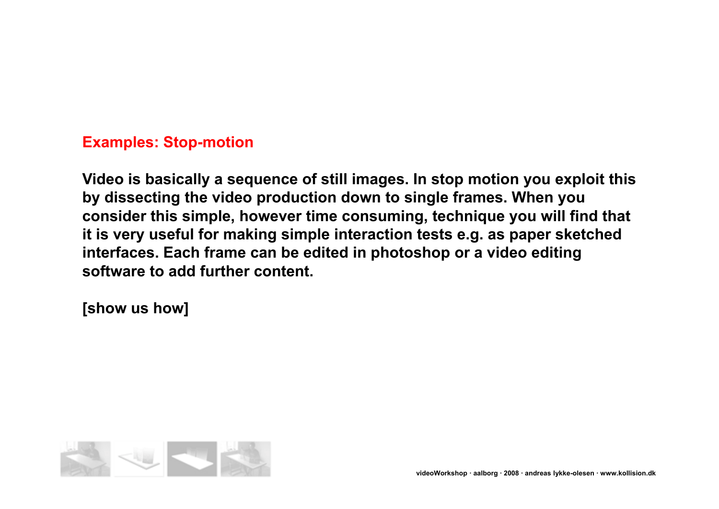## **Examples: Stop-motion**

**Video is basically a sequence of still images. In stop motion you exploit this by dissecting the video production down to single frames. When you consider this simple, however time consuming, technique you will find that it is very useful for making simple interaction tests e.g. as paper sketched interfaces. Each frame can be edited in photoshop or a video editing software to add further content.**

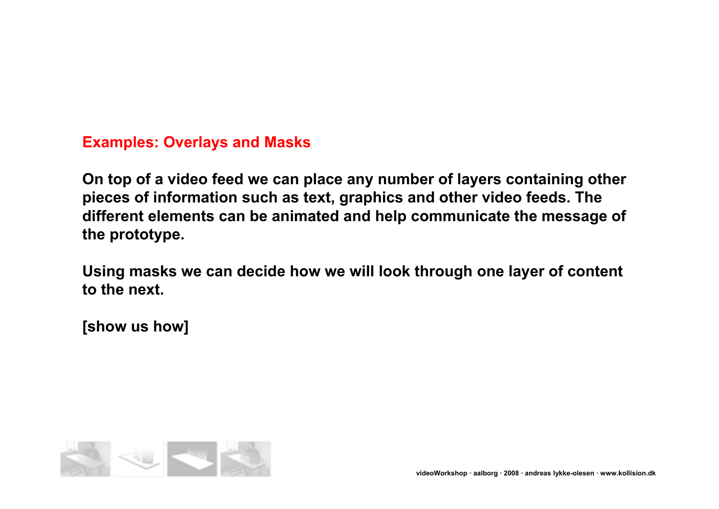## **Examples: Overlays and Masks**

**On top of a video feed we can place any number of layers containing other pieces of information such as text, graphics and other video feeds. The different elements can be animated and help communicate the message of the prototype.**

**Using masks we can decide how we will look through one layer of content to the next.**

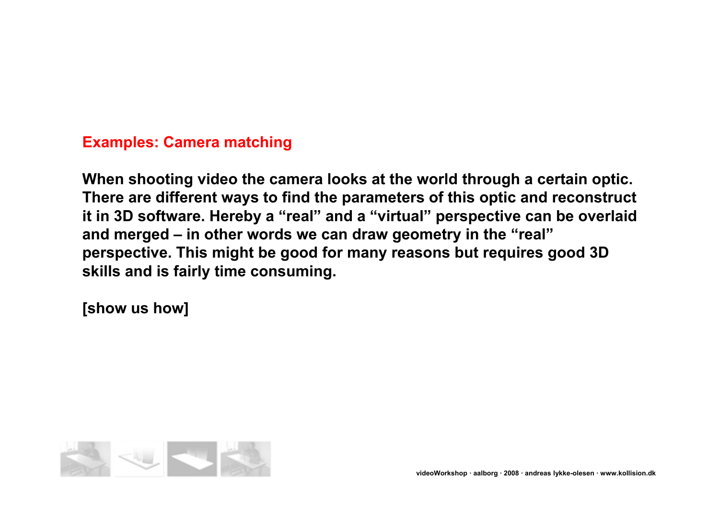## **Examples: Camera matching**

**When shooting video the camera looks at the world through a certain optic. There are different ways to find the parameters of this optic and reconstruct it in 3D software. Hereby a "real" and a "virtual" perspective can be overlaid and merged – in other words we can draw geometry in the "real" perspective. This might be good for many reasons but requires good 3D skills and is fairly time consuming.**

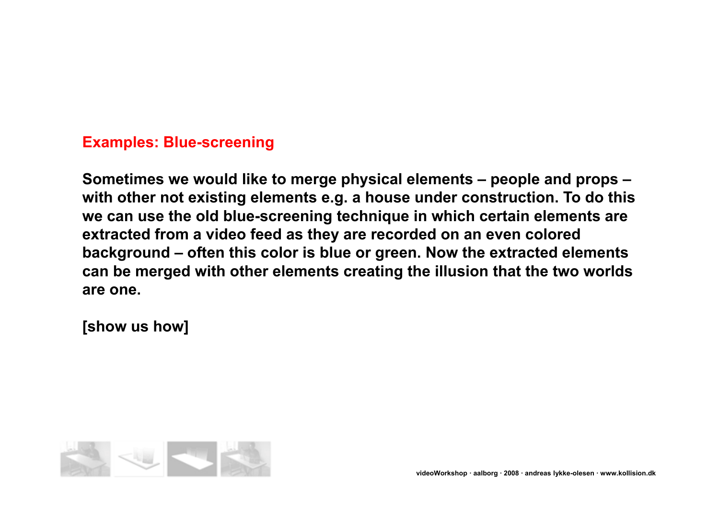## **Examples: Blue-screening**

**Sometimes we would like to merge physical elements – people and props – with other not existing elements e.g. a house under construction. To do this we can use the old blue-screening technique in which certain elements are extracted from a video feed as they are recorded on an even colored background – often this color is blue or green. Now the extracted elements can be merged with other elements creating the illusion that the two worlds are one.**